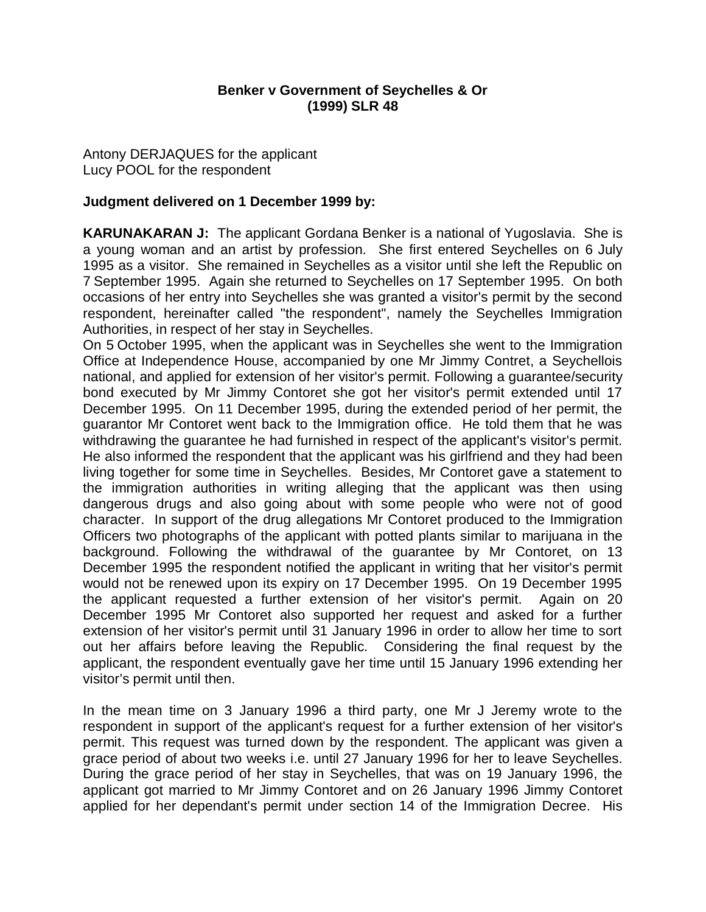## **Benker v Government of Seychelles & Or (1999) SLR 48**

Antony DERJAQUES for the applicant Lucy POOL for the respondent

### **Judgment delivered on 1 December 1999 by:**

**KARUNAKARAN J:** The applicant Gordana Benker is a national of Yugoslavia. She is a young woman and an artist by profession. She first entered Seychelles on 6 July 1995 as a visitor. She remained in Seychelles as a visitor until she left the Republic on 7 September 1995. Again she returned to Seychelles on 17 September 1995. On both occasions of her entry into Seychelles she was granted a visitor's permit by the second respondent, hereinafter called "the respondent", namely the Seychelles Immigration Authorities, in respect of her stay in Seychelles.

On 5 October 1995, when the applicant was in Seychelles she went to the Immigration Office at Independence House, accompanied by one Mr Jimmy Contret, a Seychellois national, and applied for extension of her visitor's permit. Following a guarantee/security bond executed by Mr Jimmy Contoret she got her visitor's permit extended until 17 December 1995. On 11 December 1995, during the extended period of her permit, the guarantor Mr Contoret went back to the Immigration office. He told them that he was withdrawing the guarantee he had furnished in respect of the applicant's visitor's permit. He also informed the respondent that the applicant was his girlfriend and they had been living together for some time in Seychelles. Besides, Mr Contoret gave a statement to the immigration authorities in writing alleging that the applicant was then using dangerous drugs and also going about with some people who were not of good character. In support of the drug allegations Mr Contoret produced to the Immigration Officers two photographs of the applicant with potted plants similar to marijuana in the background. Following the withdrawal of the guarantee by Mr Contoret, on 13 December 1995 the respondent notified the applicant in writing that her visitor's permit would not be renewed upon its expiry on 17 December 1995. On 19 December 1995 the applicant requested a further extension of her visitor's permit. Again on 20 December 1995 Mr Contoret also supported her request and asked for a further extension of her visitor's permit until 31 January 1996 in order to allow her time to sort out her affairs before leaving the Republic. Considering the final request by the applicant, the respondent eventually gave her time until 15 January 1996 extending her visitor's permit until then.

In the mean time on 3 January 1996 a third party, one Mr J Jeremy wrote to the respondent in support of the applicant's request for a further extension of her visitor's permit. This request was turned down by the respondent. The applicant was given a grace period of about two weeks i.e. until 27 January 1996 for her to leave Seychelles. During the grace period of her stay in Seychelles, that was on 19 January 1996, the applicant got married to Mr Jimmy Contoret and on 26 January 1996 Jimmy Contoret applied for her dependant's permit under section 14 of the Immigration Decree. His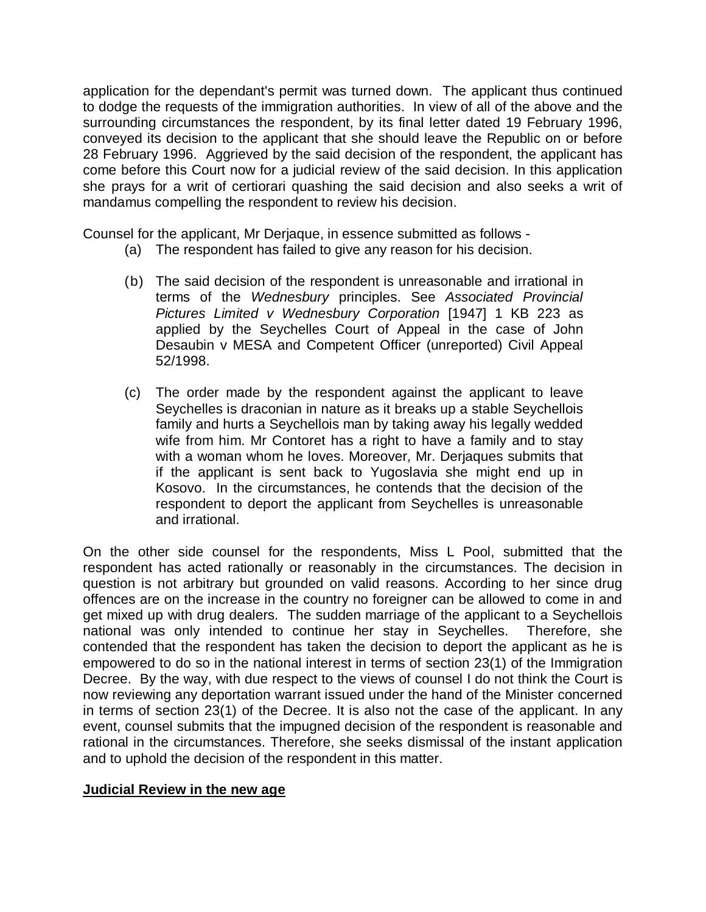application for the dependant's permit was turned down. The applicant thus continued to dodge the requests of the immigration authorities. In view of all of the above and the surrounding circumstances the respondent, by its final letter dated 19 February 1996, conveyed its decision to the applicant that she should leave the Republic on or before 28 February 1996. Aggrieved by the said decision of the respondent, the applicant has come before this Court now for a judicial review of the said decision. In this application she prays for a writ of certiorari quashing the said decision and also seeks a writ of mandamus compelling the respondent to review his decision.

Counsel for the applicant, Mr Derjaque, in essence submitted as follows -

- (a) The respondent has failed to give any reason for his decision.
- (b) The said decision of the respondent is unreasonable and irrational in terms of the *Wednesbury* principles. See *Associated Provincial Pictures Limited v Wednesbury Corporation* [1947] 1 KB 223 as applied by the Seychelles Court of Appeal in the case of John Desaubin v MESA and Competent Officer (unreported) Civil Appeal 52/1998.
- (c) The order made by the respondent against the applicant to leave Seychelles is draconian in nature as it breaks up a stable Seychellois family and hurts a Seychellois man by taking away his legally wedded wife from him. Mr Contoret has a right to have a family and to stay with a woman whom he loves. Moreover, Mr. Derjaques submits that if the applicant is sent back to Yugoslavia she might end up in Kosovo. In the circumstances, he contends that the decision of the respondent to deport the applicant from Seychelles is unreasonable and irrational.

On the other side counsel for the respondents, Miss L Pool, submitted that the respondent has acted rationally or reasonably in the circumstances. The decision in question is not arbitrary but grounded on valid reasons. According to her since drug offences are on the increase in the country no foreigner can be allowed to come in and get mixed up with drug dealers. The sudden marriage of the applicant to a Seychellois national was only intended to continue her stay in Seychelles. Therefore, she contended that the respondent has taken the decision to deport the applicant as he is empowered to do so in the national interest in terms of section 23(1) of the Immigration Decree. By the way, with due respect to the views of counsel I do not think the Court is now reviewing any deportation warrant issued under the hand of the Minister concerned in terms of section 23(1) of the Decree. It is also not the case of the applicant. In any event, counsel submits that the impugned decision of the respondent is reasonable and rational in the circumstances. Therefore, she seeks dismissal of the instant application and to uphold the decision of the respondent in this matter.

#### **Judicial Review in the new age**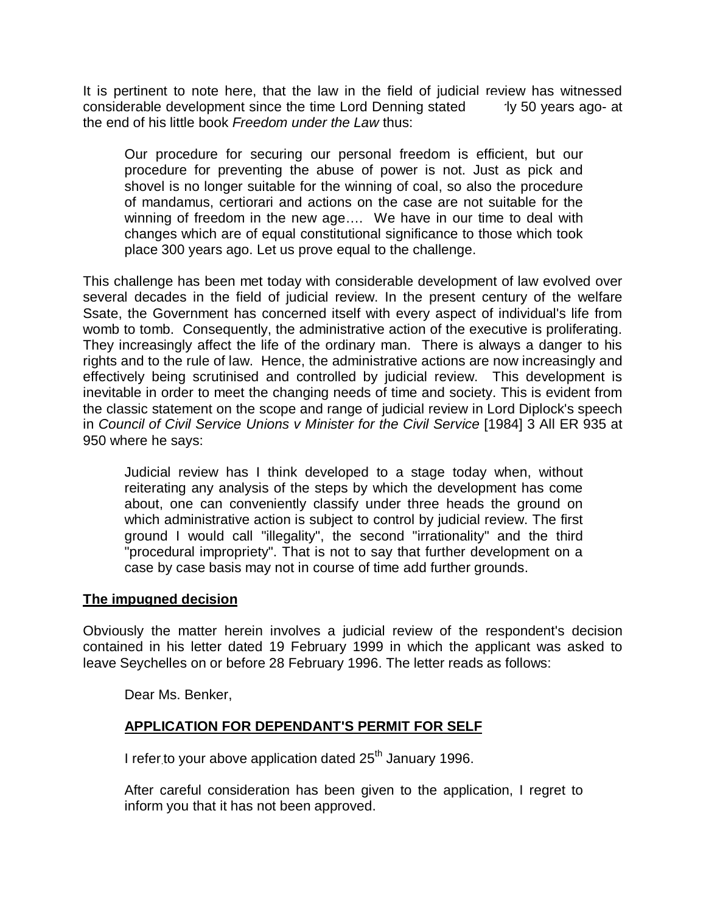It is pertinent to note here, that the law in the field of judicial review has witnessed considerable development since the time Lord Denning stated ity 50 years ago- at the end of his little book *Freedom under the Law* thus:

Our procedure for securing our personal freedom is efficient, but our procedure for preventing the abuse of power is not. Just as pick and shovel is no longer suitable for the winning of coal, so also the procedure of mandamus, certiorari and actions on the case are not suitable for the winning of freedom in the new age…. We have in our time to deal with changes which are of equal constitutional significance to those which took place 300 years ago. Let us prove equal to the challenge.

This challenge has been met today with considerable development of law evolved over several decades in the field of judicial review. In the present century of the welfare Ssate, the Government has concerned itself with every aspect of individual's life from womb to tomb. Consequently, the administrative action of the executive is proliferating. They increasingly affect the life of the ordinary man. There is always a danger to his rights and to the rule of law. Hence, the administrative actions are now increasingly and effectively being scrutinised and controlled by judicial review. This development is inevitable in order to meet the changing needs of time and society. This is evident from the classic statement on the scope and range of judicial review in Lord Diplock's speech in *Council of Civil Service Unions v Minister for the Civil Service* [1984] 3 All ER 935 at 950 where he says:

Judicial review has I think developed to a stage today when, without reiterating any analysis of the steps by which the development has come about, one can conveniently classify under three heads the ground on which administrative action is subject to control by judicial review. The first ground I would call "illegality", the second "irrationality" and the third "procedural impropriety". That is not to say that further development on a case by case basis may not in course of time add further grounds.

### **The impugned decision**

Obviously the matter herein involves a judicial review of the respondent's decision contained in his letter dated 19 February 1999 in which the applicant was asked to leave Seychelles on or before 28 February 1996. The letter reads as follows:

Dear Ms. Benker,

# **APPLICATION FOR DEPENDANT'S PERMIT FOR SELF**

I refer to your above application dated  $25<sup>th</sup>$  January 1996.

After careful consideration has been given to the application, I regret to inform you that it has not been approved.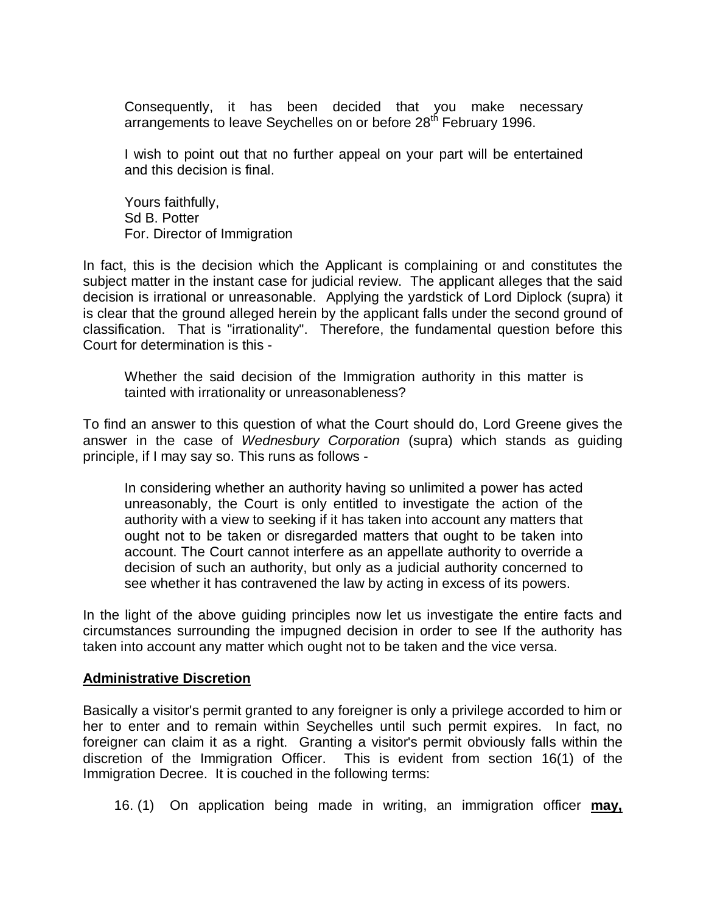Consequently, it has been decided that you make necessary arrangements to leave Seychelles on or before 28<sup>th</sup> February 1996.

I wish to point out that no further appeal on your part will be entertained and this decision is final.

Yours faithfully, Sd B. Potter For. Director of Immigration

In fact, this is the decision which the Applicant is complaining or and constitutes the subject matter in the instant case for judicial review. The applicant alleges that the said decision is irrational or unreasonable. Applying the yardstick of Lord Diplock (supra) it is clear that the ground alleged herein by the applicant falls under the second ground of classification. That is "irrationality". Therefore, the fundamental question before this Court for determination is this -

Whether the said decision of the Immigration authority in this matter is tainted with irrationality or unreasonableness?

To find an answer to this question of what the Court should do, Lord Greene gives the answer in the case of *Wednesbury Corporation* (supra) which stands as guiding principle, if I may say so. This runs as follows -

In considering whether an authority having so unlimited a power has acted unreasonably, the Court is only entitled to investigate the action of the authority with a view to seeking if it has taken into account any matters that ought not to be taken or disregarded matters that ought to be taken into account. The Court cannot interfere as an appellate authority to override a decision of such an authority, but only as a judicial authority concerned to see whether it has contravened the law by acting in excess of its powers.

In the light of the above guiding principles now let us investigate the entire facts and circumstances surrounding the impugned decision in order to see If the authority has taken into account any matter which ought not to be taken and the vice versa.

#### **Administrative Discretion**

Basically a visitor's permit granted to any foreigner is only a privilege accorded to him or her to enter and to remain within Seychelles until such permit expires. In fact, no foreigner can claim it as a right. Granting a visitor's permit obviously falls within the discretion of the Immigration Officer. This is evident from section 16(1) of the Immigration Decree. It is couched in the following terms:

16. (1) On application being made in writing, an immigration officer **may,**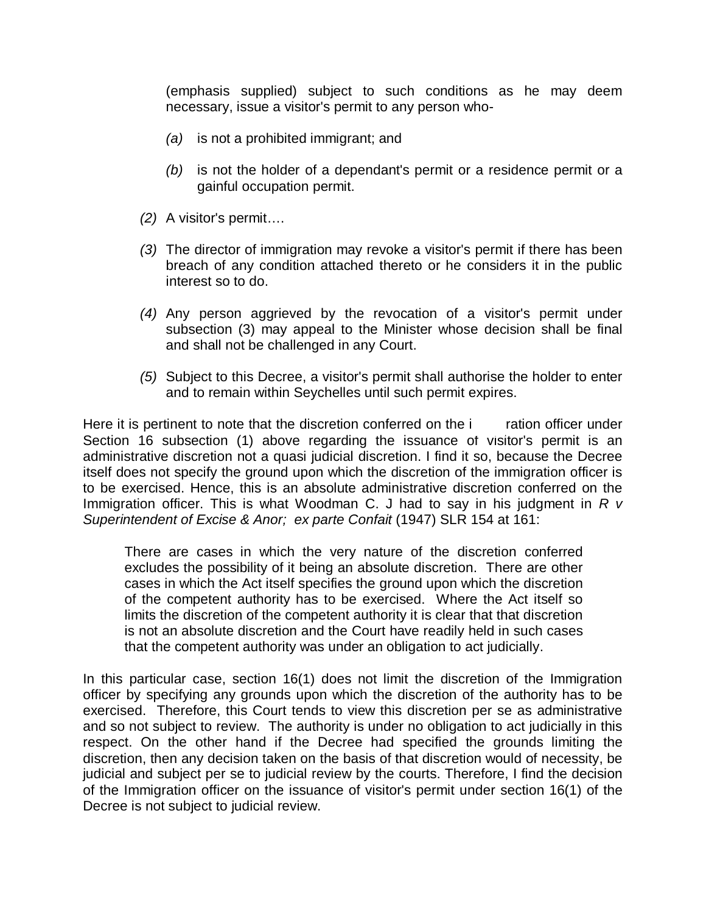(emphasis supplied) subject to such conditions as he may deem necessary, issue a visitor's permit to any person who-

- *(a)* is not a prohibited immigrant; and
- *(b)* is not the holder of a dependant's permit or a residence permit or a gainful occupation permit.
- *(2)* A visitor's permit….
- *(3)* The director of immigration may revoke a visitor's permit if there has been breach of any condition attached thereto or he considers it in the public interest so to do.
- *(4)* Any person aggrieved by the revocation of a visitor's permit under subsection (3) may appeal to the Minister whose decision shall be final and shall not be challenged in any Court.
- *(5)* Subject to this Decree, a visitor's permit shall authorise the holder to enter and to remain within Seychelles until such permit expires.

Here it is pertinent to note that the discretion conferred on the induction officer under Section 16 subsection (1) above regarding the issuance of visitor's permit is an administrative discretion not a quasi judicial discretion. I find it so, because the Decree itself does not specify the ground upon which the discretion of the immigration officer is to be exercised. Hence, this is an absolute administrative discretion conferred on the Immigration officer. This is what Woodman C. J had to say in his judgment in *R v Superintendent of Excise & Anor; ex parte Confait* (1947) SLR 154 at 161:

There are cases in which the very nature of the discretion conferred excludes the possibility of it being an absolute discretion. There are other cases in which the Act itself specifies the ground upon which the discretion of the competent authority has to be exercised. Where the Act itself so limits the discretion of the competent authority it is clear that that discretion is not an absolute discretion and the Court have readily held in such cases that the competent authority was under an obligation to act judicially.

In this particular case, section 16(1) does not limit the discretion of the Immigration officer by specifying any grounds upon which the discretion of the authority has to be exercised. Therefore, this Court tends to view this discretion per se as administrative and so not subject to review. The authority is under no obligation to act judicially in this respect. On the other hand if the Decree had specified the grounds limiting the discretion, then any decision taken on the basis of that discretion would of necessity, be judicial and subject per se to judicial review by the courts. Therefore, I find the decision of the Immigration officer on the issuance of visitor's permit under section 16(1) of the Decree is not subject to judicial review.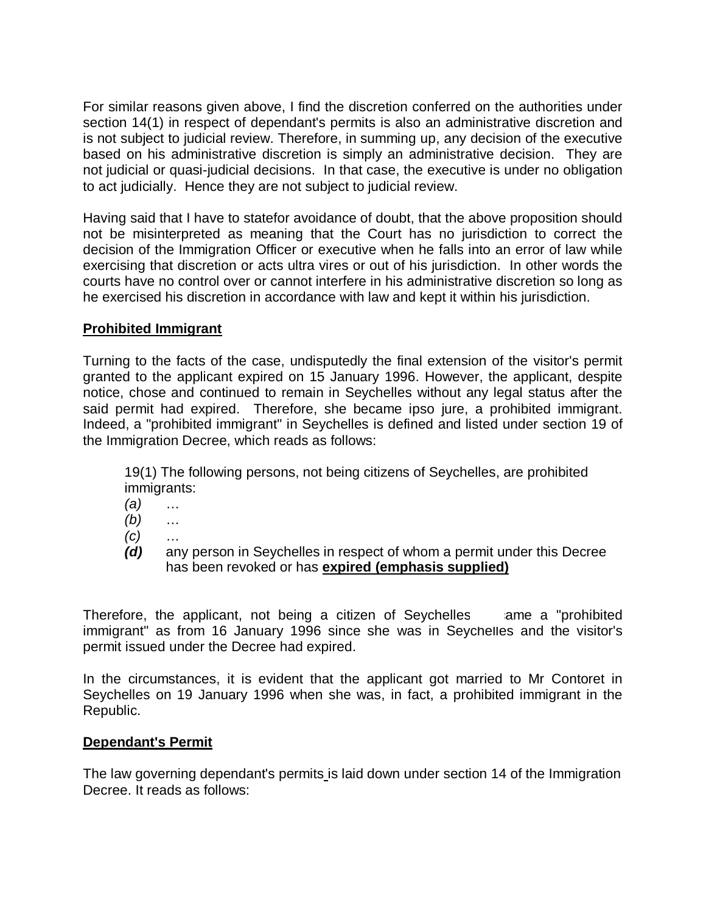For similar reasons given above, I find the discretion conferred on the authorities under section 14(1) in respect of dependant's permits is also an administrative discretion and is not subject to judicial review. Therefore, in summing up, any decision of the executive based on his administrative discretion is simply an administrative decision. They are not judicial or quasi-judicial decisions. In that case, the executive is under no obligation to act judicially. Hence they are not subject to judicial review.

Having said that I have to statefor avoidance of doubt, that the above proposition should not be misinterpreted as meaning that the Court has no jurisdiction to correct the decision of the Immigration Officer or executive when he falls into an error of law while exercising that discretion or acts ultra vires or out of his jurisdiction. In other words the courts have no control over or cannot interfere in his administrative discretion so long as he exercised his discretion in accordance with law and kept it within his jurisdiction.

## **Prohibited Immigrant**

Turning to the facts of the case, undisputedly the final extension of the visitor's permit granted to the applicant expired on 15 January 1996. However, the applicant, despite notice, chose and continued to remain in Seychelles without any legal status after the said permit had expired. Therefore, she became ipso jure, a prohibited immigrant. Indeed, a "prohibited immigrant" in Seychelles is defined and listed under section 19 of the Immigration Decree, which reads as follows:

19(1) The following persons, not being citizens of Seychelles, are prohibited immigrants:

- *(a)* …
- *(b)* …
- *(c)* …
- *(d)* any person in Seychelles in respect of whom a permit under this Decree has been revoked or has **expired (emphasis supplied)**

Therefore, the applicant, not being a citizen of Seychelles ame a "prohibited" immigrant" as from 16 January 1996 since she was in Seychelles and the visitor's permit issued under the Decree had expired.

In the circumstances, it is evident that the applicant got married to Mr Contoret in Seychelles on 19 January 1996 when she was, in fact, a prohibited immigrant in the Republic.

### **Dependant's Permit**

The law governing dependant's permits is laid down under section 14 of the Immigration Decree. It reads as follows: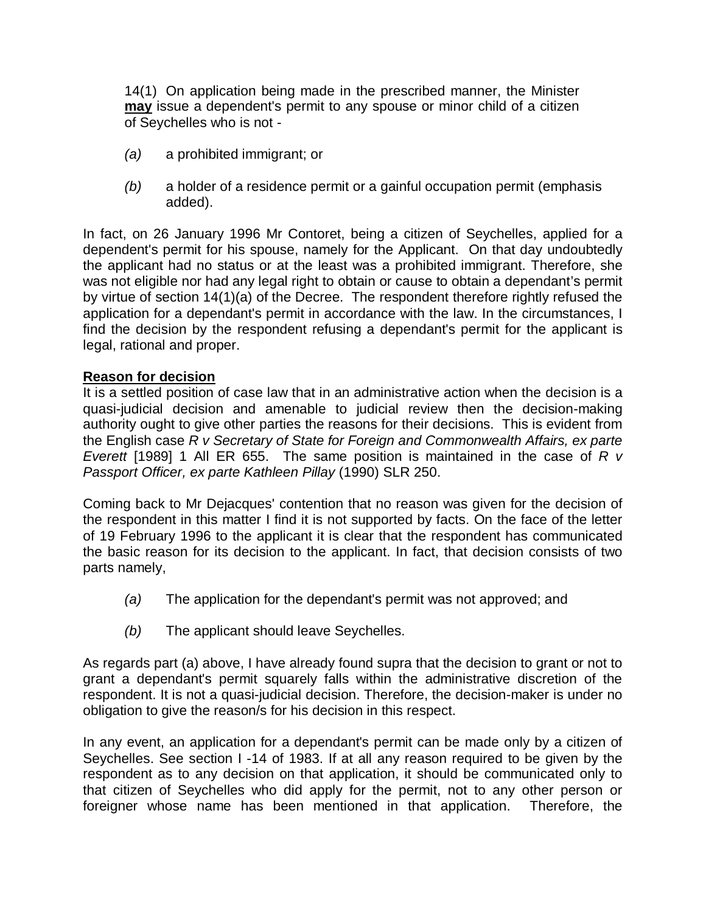14(1) On application being made in the prescribed manner, the Minister **may** issue a dependent's permit to any spouse or minor child of a citizen of Seychelles who is not -

- *(a)* a prohibited immigrant; or
- *(b)* a holder of a residence permit or a gainful occupation permit (emphasis added).

In fact, on 26 January 1996 Mr Contoret, being a citizen of Seychelles, applied for a dependent's permit for his spouse, namely for the Applicant. On that day undoubtedly the applicant had no status or at the least was a prohibited immigrant. Therefore, she was not eligible nor had any legal right to obtain or cause to obtain a dependant's permit by virtue of section 14(1)(a) of the Decree. The respondent therefore rightly refused the application for a dependant's permit in accordance with the law. In the circumstances, I find the decision by the respondent refusing a dependant's permit for the applicant is legal, rational and proper.

### **Reason for decision**

It is a settled position of case law that in an administrative action when the decision is a quasi-judicial decision and amenable to judicial review then the decision-making authority ought to give other parties the reasons for their decisions. This is evident from the English case *R v Secretary of State for Foreign and Commonwealth Affairs, ex parte Everett* [1989] 1 All ER 655. The same position is maintained in the case of *R v Passport Officer, ex parte Kathleen Pillay* (1990) SLR 250.

Coming back to Mr Dejacques' contention that no reason was given for the decision of the respondent in this matter I find it is not supported by facts. On the face of the letter of 19 February 1996 to the applicant it is clear that the respondent has communicated the basic reason for its decision to the applicant. In fact, that decision consists of two parts namely,

- *(a)* The application for the dependant's permit was not approved; and
- *(b)* The applicant should leave Seychelles.

As regards part (a) above, I have already found supra that the decision to grant or not to grant a dependant's permit squarely falls within the administrative discretion of the respondent. It is not a quasi-judicial decision. Therefore, the decision-maker is under no obligation to give the reason/s for his decision in this respect.

In any event, an application for a dependant's permit can be made only by a citizen of Seychelles. See section I -14 of 1983. If at all any reason required to be given by the respondent as to any decision on that application, it should be communicated only to that citizen of Seychelles who did apply for the permit, not to any other person or foreigner whose name has been mentioned in that application. Therefore, the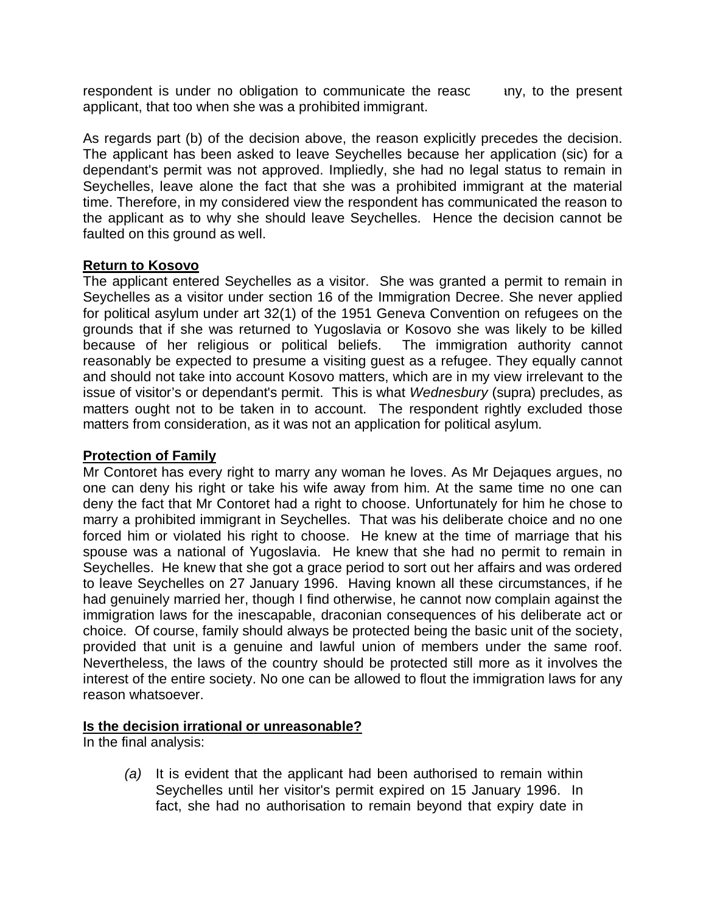respondent is under no obligation to communicate the reasc iny, to the present applicant, that too when she was a prohibited immigrant.

As regards part (b) of the decision above, the reason explicitly precedes the decision. The applicant has been asked to leave Seychelles because her application (sic) for a dependant's permit was not approved. Impliedly, she had no legal status to remain in Seychelles, leave alone the fact that she was a prohibited immigrant at the material time. Therefore, in my considered view the respondent has communicated the reason to the applicant as to why she should leave Seychelles. Hence the decision cannot be faulted on this ground as well.

### **Return to Kosovo**

The applicant entered Seychelles as a visitor. She was granted a permit to remain in Seychelles as a visitor under section 16 of the Immigration Decree. She never applied for political asylum under art 32(1) of the 1951 Geneva Convention on refugees on the grounds that if she was returned to Yugoslavia or Kosovo she was likely to be killed because of her religious or political beliefs. The immigration authority cannot reasonably be expected to presume a visiting guest as a refugee. They equally cannot and should not take into account Kosovo matters, which are in my view irrelevant to the issue of visitor's or dependant's permit. This is what *Wednesbury* (supra) precludes, as matters ought not to be taken in to account. The respondent rightly excluded those matters from consideration, as it was not an application for political asylum.

# **Protection of Family**

Mr Contoret has every right to marry any woman he loves. As Mr Dejaques argues, no one can deny his right or take his wife away from him. At the same time no one can deny the fact that Mr Contoret had a right to choose. Unfortunately for him he chose to marry a prohibited immigrant in Seychelles. That was his deliberate choice and no one forced him or violated his right to choose. He knew at the time of marriage that his spouse was a national of Yugoslavia. He knew that she had no permit to remain in Seychelles. He knew that she got a grace period to sort out her affairs and was ordered to leave Seychelles on 27 January 1996. Having known all these circumstances, if he had genuinely married her, though I find otherwise, he cannot now complain against the immigration laws for the inescapable, draconian consequences of his deliberate act or choice. Of course, family should always be protected being the basic unit of the society, provided that unit is a genuine and lawful union of members under the same roof. Nevertheless, the laws of the country should be protected still more as it involves the interest of the entire society. No one can be allowed to flout the immigration laws for any reason whatsoever.

### **Is the decision irrational or unreasonable?**

In the final analysis:

*(a)* It is evident that the applicant had been authorised to remain within Seychelles until her visitor's permit expired on 15 January 1996. In fact, she had no authorisation to remain beyond that expiry date in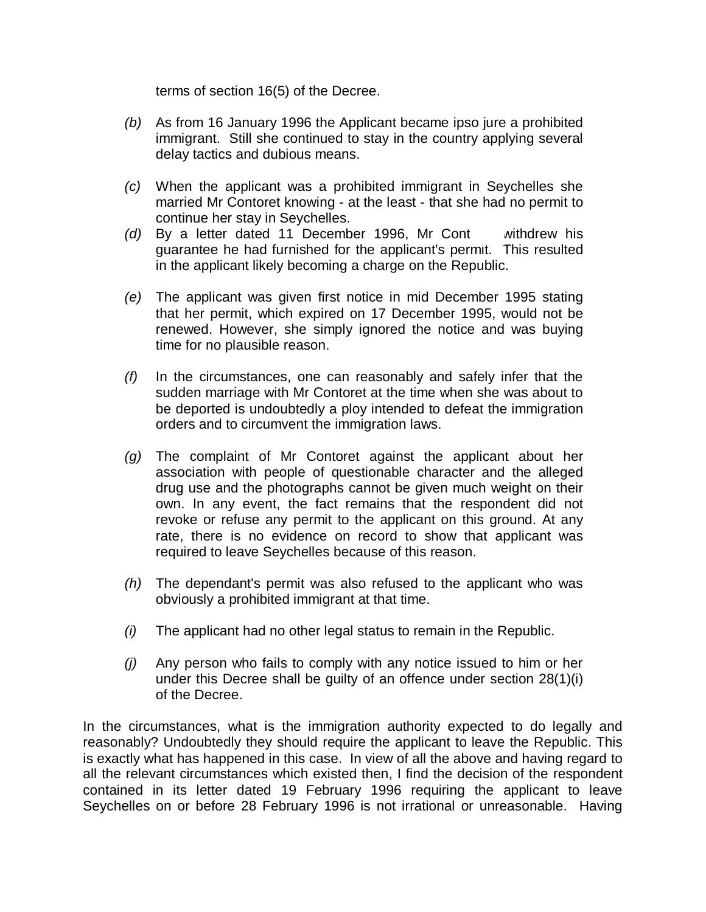terms of section 16(5) of the Decree.

- *(b)* As from 16 January 1996 the Applicant became ipso jure a prohibited immigrant. Still she continued to stay in the country applying several delay tactics and dubious means.
- *(c)* When the applicant was a prohibited immigrant in Seychelles she married Mr Contoret knowing - at the least - that she had no permit to continue her stay in Seychelles.
- *(d)* By a letter dated 11 December 1996, Mr Cont withdrew his guarantee he had furnished for the applicant's permit. This resulted in the applicant likely becoming a charge on the Republic.
- *(e)* The applicant was given first notice in mid December 1995 stating that her permit, which expired on 17 December 1995, would not be renewed. However, she simply ignored the notice and was buying time for no plausible reason.
- *(f)* In the circumstances, one can reasonably and safely infer that the sudden marriage with Mr Contoret at the time when she was about to be deported is undoubtedly a ploy intended to defeat the immigration orders and to circumvent the immigration laws.
- *(g)* The complaint of Mr Contoret against the applicant about her association with people of questionable character and the alleged drug use and the photographs cannot be given much weight on their own. In any event, the fact remains that the respondent did not revoke or refuse any permit to the applicant on this ground. At any rate, there is no evidence on record to show that applicant was required to leave Seychelles because of this reason.
- *(h)* The dependant's permit was also refused to the applicant who was obviously a prohibited immigrant at that time.
- *(i)* The applicant had no other legal status to remain in the Republic.
- *(j)* Any person who fails to comply with any notice issued to him or her under this Decree shall be guilty of an offence under section 28(1)(i) of the Decree.

In the circumstances, what is the immigration authority expected to do legally and reasonably? Undoubtedly they should require the applicant to leave the Republic. This is exactly what has happened in this case. In view of all the above and having regard to all the relevant circumstances which existed then, I find the decision of the respondent contained in its letter dated 19 February 1996 requiring the applicant to leave Seychelles on or before 28 February 1996 is not irrational or unreasonable. Having